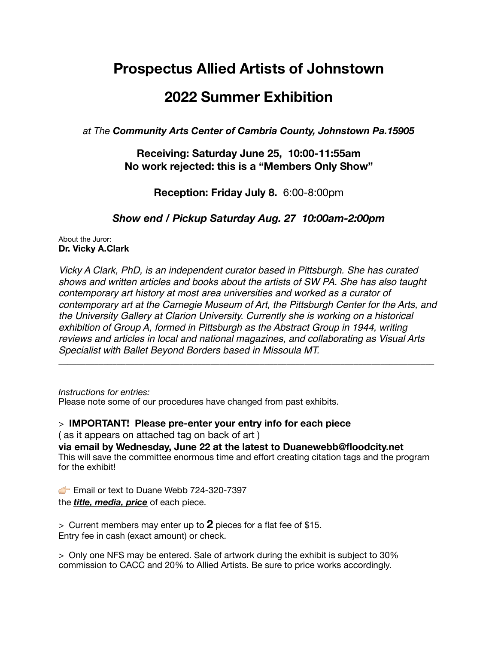## **Prospectus Allied Artists of Johnstown**

## **2022 Summer Exhibition**

*at The Community Arts Center of Cambria County, Johnstown Pa.15905*

## **Receiving: Saturday June 25, 10:00-11:55am No work rejected: this is a "Members Only Show"**

**Reception: Friday July 8.** 6:00-8:00pm

*Show end / Pickup Saturday Aug. 27 10:00am-2:00pm* 

About the Juror: **Dr. Vicky A.Clark** 

*Vicky A Clark, PhD, is an independent curator based in Pittsburgh. She has curated shows and written articles and books about the artists of SW PA. She has also taught contemporary art history at most area universities and worked as a curator of contemporary art at the Carnegie Museum of Art, the Pittsburgh Center for the Arts, and the University Gallery at Clarion University. Currently she is working on a historical exhibition of Group A, formed in Pittsburgh as the Abstract Group in 1944, writing reviews and articles in local and national magazines, and collaborating as Visual Arts Specialist with Ballet Beyond Borders based in Missoula MT.*  \_\_\_\_\_\_\_\_\_\_\_\_\_\_\_\_\_\_\_\_\_\_\_\_\_\_\_\_\_\_\_\_\_\_\_\_\_\_\_\_\_\_\_\_\_\_\_\_\_\_\_\_\_\_\_\_\_\_\_\_\_\_\_\_\_\_\_\_\_\_\_\_\_\_\_\_\_\_\_\_\_\_\_\_

*Instructions for entries:*  Please note some of our procedures have changed from past exhibits.

> **IMPORTANT! Please pre-enter your entry info for each piece** 

( as it appears on attached tag on back of art )

**via email by Wednesday, June 22 at the latest to Duanewebb@floodcity.net** This will save the committee enormous time and effort creating citation tags and the program for the exhibit!

**Email or text to Duane Webb 724-320-7397** the *title, media, price* of each piece.

> Current members may enter up to **2** pieces for a flat fee of \$15. Entry fee in cash (exact amount) or check.

> Only one NFS may be entered. Sale of artwork during the exhibit is subject to 30% commission to CACC and 20% to Allied Artists. Be sure to price works accordingly.